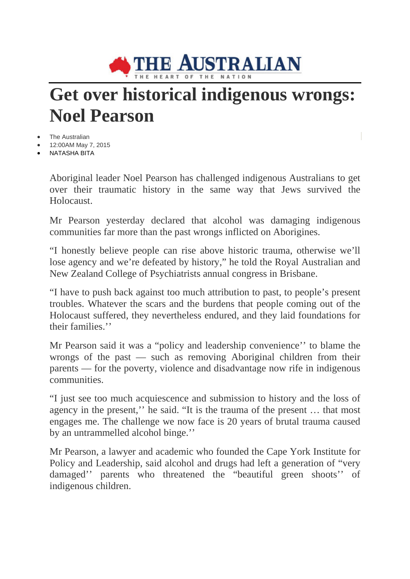

## **Get over historical indigenous wrongs: Noel Pearson**

The Australian

- 12:00AM May 7, 2015
- NATASHA BITA

Aboriginal leader Noel Pearson has challenged indigenous Australians to get over their traumatic history in the same way that Jews survived the Holocaust.

Mr Pearson yesterday declared that alcohol was damaging indigenous communities far more than the past wrongs inflicted on Aborigines.

"I honestly believe people can rise above historic trauma, otherwise we'll lose agency and we're defeated by history," he told the Royal Australian and New Zealand College of Psychiatrists annual congress in Brisbane.

"I have to push back against too much attribution to past, to people's present troubles. Whatever the scars and the burdens that people coming out of the Holocaust suffered, they nevertheless endured, and they laid foundations for their families.''

Mr Pearson said it was a "policy and leadership convenience'' to blame the wrongs of the past — such as removing Aboriginal children from their parents — for the poverty, violence and disadvantage now rife in indigenous communities.

"I just see too much acquiescence and submission to history and the loss of agency in the present,'' he said. "It is the trauma of the present … that most engages me. The challenge we now face is 20 years of brutal trauma caused by an untrammelled alcohol binge.''

Mr Pearson, a lawyer and academic who founded the Cape York Institute for Policy and Leadership, said alcohol and drugs had left a generation of "very damaged'' parents who threatened the "beautiful green shoots'' of indigenous children.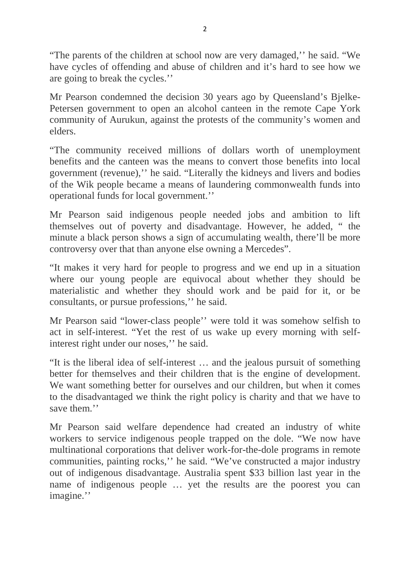"The parents of the children at school now are very damaged,'' he said. "We have cycles of offending and abuse of children and it's hard to see how we are going to break the cycles.''

Mr Pearson condemned the decision 30 years ago by Queensland's Bjelke-Petersen government to open an alcohol canteen in the remote Cape York community of Aurukun, against the protests of the community's women and elders.

"The community received millions of dollars worth of unemployment benefits and the canteen was the means to convert those benefits into local government (revenue),'' he said. "Literally the kidneys and livers and bodies of the Wik people became a means of laundering commonwealth funds into operational funds for local government.''

Mr Pearson said indigenous people needed jobs and ambition to lift themselves out of poverty and disadvantage. However, he added, " the minute a black person shows a sign of accumulating wealth, there'll be more controversy over that than anyone else owning a Mercedes".

"It makes it very hard for people to progress and we end up in a situation where our young people are equivocal about whether they should be materialistic and whether they should work and be paid for it, or be consultants, or pursue professions,'' he said.

Mr Pearson said "lower-class people'' were told it was somehow selfish to act in self-interest. "Yet the rest of us wake up every morning with selfinterest right under our noses,'' he said.

"It is the liberal idea of self-interest … and the jealous pursuit of something better for themselves and their children that is the engine of development. We want something better for ourselves and our children, but when it comes to the disadvantaged we think the right policy is charity and that we have to save them.''

Mr Pearson said welfare dependence had created an industry of white workers to service indigenous people trapped on the dole. "We now have multinational corporations that deliver work-for-the-dole programs in remote communities, painting rocks,'' he said. "We've constructed a major industry out of indigenous disadvantage. Australia spent \$33 billion last year in the name of indigenous people … yet the results are the poorest you can imagine.''